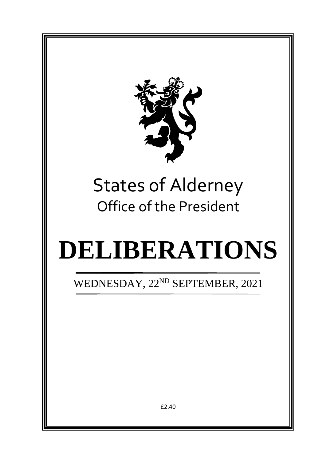

# States of Alderney Office of the President

# **DELIBERATIONS**

WEDNESDAY, 22<sup>ND</sup> SEPTEMBER, 2021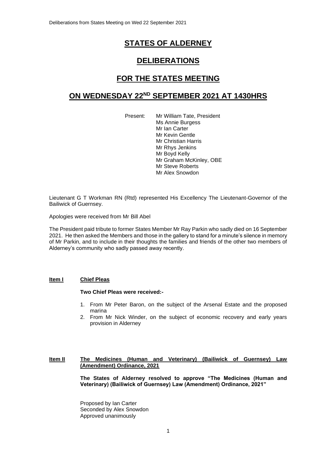# **STATES OF ALDERNEY**

# **DELIBERATIONS**

# **FOR THE STATES MEETING**

# **ON WEDNESDAY 22ND SEPTEMBER 2021 AT 1430HRS**

Present: Mr William Tate, President Ms Annie Burgess Mr Ian Carter Mr Kevin Gentle Mr Christian Harris Mr Rhys Jenkins Mr Boyd Kelly Mr Graham McKinley, OBE Mr Steve Roberts Mr Alex Snowdon

Lieutenant G T Workman RN (Rtd) represented His Excellency The Lieutenant-Governor of the Bailiwick of Guernsey.

Apologies were received from Mr Bill Abel

The President paid tribute to former States Member Mr Ray Parkin who sadly died on 16 September 2021. He then asked the Members and those in the gallery to stand for a minute's silence in memory of Mr Parkin, and to include in their thoughts the families and friends of the other two members of Alderney's community who sadly passed away recently.

#### **Item I Chief Pleas**

#### **Two Chief Pleas were received:-**

- 1. From Mr Peter Baron, on the subject of the Arsenal Estate and the proposed marina
- 2. From Mr Nick Winder, on the subject of economic recovery and early years provision in Alderney

#### **Item II The Medicines (Human and Veterinary) (Bailiwick of Guernsey) Law (Amendment) Ordinance, 2021**

**The States of Alderney resolved to approve "The Medicines (Human and Veterinary) (Bailiwick of Guernsey) Law (Amendment) Ordinance, 2021"**

Proposed by Ian Carter Seconded by Alex Snowdon Approved unanimously